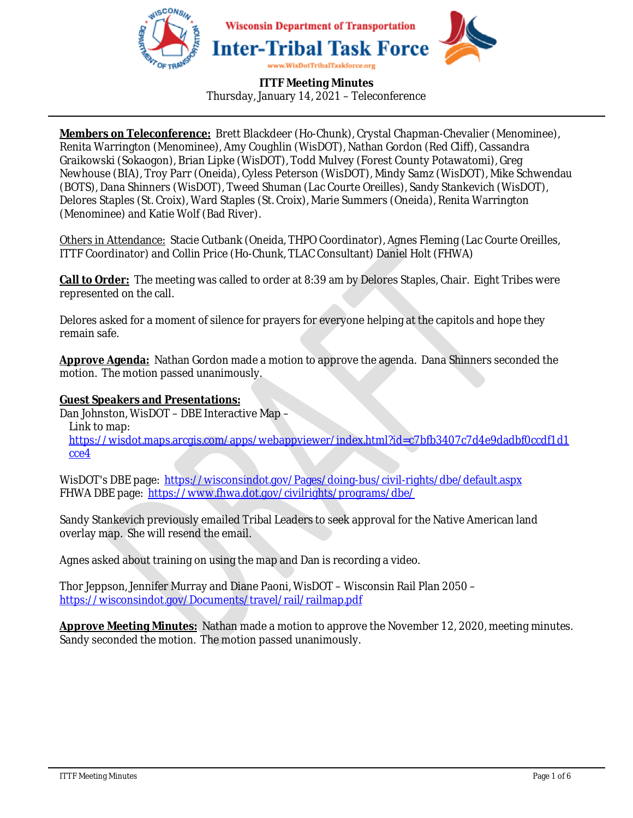

**Members on Teleconference:** Brett Blackdeer (Ho-Chunk), Crystal Chapman-Chevalier (Menominee), Renita Warrington (Menominee), Amy Coughlin (WisDOT), Nathan Gordon (Red Cliff), Cassandra Graikowski (Sokaogon), Brian Lipke (WisDOT), Todd Mulvey (Forest County Potawatomi), Greg Newhouse (BIA), Troy Parr (Oneida), Cyless Peterson (WisDOT), Mindy Samz (WisDOT), Mike Schwendau (BOTS), Dana Shinners (WisDOT), Tweed Shuman (Lac Courte Oreilles), Sandy Stankevich (WisDOT), Delores Staples (St. Croix), Ward Staples (St. Croix), Marie Summers (Oneida), Renita Warrington (Menominee) and Katie Wolf (Bad River).

Others in Attendance: Stacie Cutbank (Oneida, THPO Coordinator), Agnes Fleming (Lac Courte Oreilles, ITTF Coordinator) and Collin Price (Ho-Chunk, TLAC Consultant) Daniel Holt (FHWA)

**Call to Order:** The meeting was called to order at 8:39 am by Delores Staples, Chair. Eight Tribes were represented on the call.

Delores asked for a moment of silence for prayers for everyone helping at the capitols and hope they remain safe.

**Approve Agenda:** Nathan Gordon made a motion to approve the agenda. Dana Shinners seconded the motion. The motion passed unanimously.

## **Guest Speakers and Presentations:**

Dan Johnston, WisDOT – DBE Interactive Map –

Link to map:

https://wisdot.maps.arcgis.com/apps/webappviewer/index.html?id=c7bfb3407c7d4e9dadbf0ccdf1d1 cce4

WisDOT's DBE page: https://wisconsindot.gov/Pages/doing-bus/civil-rights/dbe/default.aspx FHWA DBE page: https://www.fhwa.dot.gov/civilrights/programs/dbe/

Sandy Stankevich previously emailed Tribal Leaders to seek approval for the Native American land overlay map. She will resend the email.

Agnes asked about training on using the map and Dan is recording a video.

Thor Jeppson, Jennifer Murray and Diane Paoni, WisDOT – Wisconsin Rail Plan 2050 – https://wisconsindot.gov/Documents/travel/rail/railmap.pdf

**Approve Meeting Minutes:** Nathan made a motion to approve the November 12, 2020, meeting minutes. Sandy seconded the motion. The motion passed unanimously.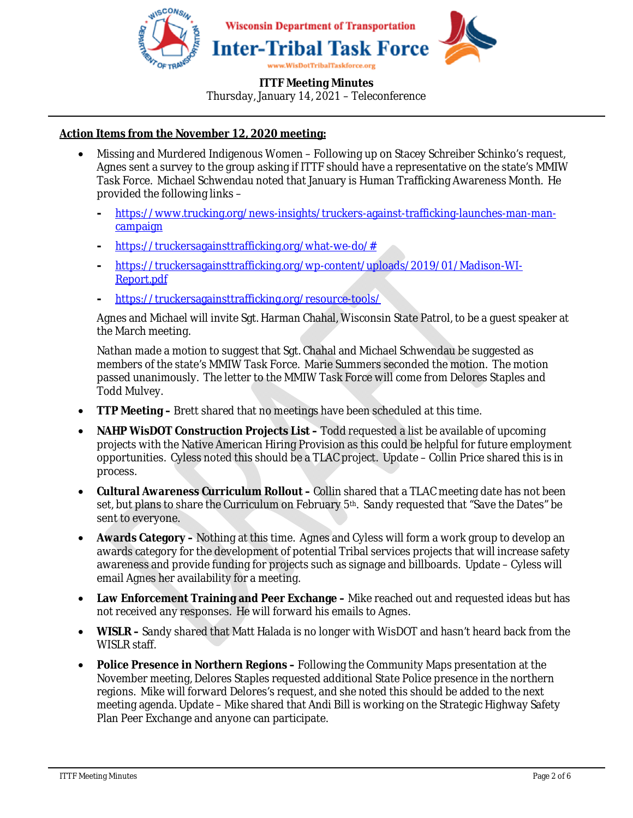

### **ITTF Meeting Minutes**

Thursday, January 14, 2021 – Teleconference

## **Action Items from the November 12, 2020 meeting:**

- Missing and Murdered Indigenous Women Following up on Stacey Schreiber Schinko's request, Agnes sent a survey to the group asking if ITTF should have a representative on the state's MMIW Task Force. Michael Schwendau noted that January is Human Trafficking Awareness Month. He provided the following links –
	- **-** https://www.trucking.org/news-insights/truckers-against-trafficking-launches-man-mancampaign
	- **-** https://truckersagainsttrafficking.org/what-we-do/#
	- **-** https://truckersagainsttrafficking.org/wp-content/uploads/2019/01/Madison-WI-Report.pdf
	- **-** https://truckersagainsttrafficking.org/resource-tools/

Agnes and Michael will invite Sgt. Harman Chahal, Wisconsin State Patrol, to be a guest speaker at the March meeting.

Nathan made a motion to suggest that Sgt. Chahal and Michael Schwendau be suggested as members of the state's MMIW Task Force. Marie Summers seconded the motion. The motion passed unanimously. The letter to the MMIW Task Force will come from Delores Staples and Todd Mulvey.

- **TTP Meeting –** Brett shared that no meetings have been scheduled at this time.
- **NAHP WisDOT Construction Projects List –** Todd requested a list be available of upcoming projects with the Native American Hiring Provision as this could be helpful for future employment opportunities. Cyless noted this should be a TLAC project. Update – Collin Price shared this is in process.
- **Cultural Awareness Curriculum Rollout** Collin shared that a TLAC meeting date has not been set, but plans to share the Curriculum on February 5<sup>th</sup>. Sandy requested that "Save the Dates" be sent to everyone.
- **Awards Category –** Nothing at this time. Agnes and Cyless will form a work group to develop an awards category for the development of potential Tribal services projects that will increase safety awareness and provide funding for projects such as signage and billboards. Update – Cyless will email Agnes her availability for a meeting.
- **Law Enforcement Training and Peer Exchange –** Mike reached out and requested ideas but has not received any responses. He will forward his emails to Agnes.
- **WISLR** Sandy shared that Matt Halada is no longer with WisDOT and hasn't heard back from the WISLR staff.
- **Police Presence in Northern Regions –** Following the Community Maps presentation at the November meeting, Delores Staples requested additional State Police presence in the northern regions. Mike will forward Delores's request, and she noted this should be added to the next meeting agenda. Update – Mike shared that Andi Bill is working on the Strategic Highway Safety Plan Peer Exchange and anyone can participate.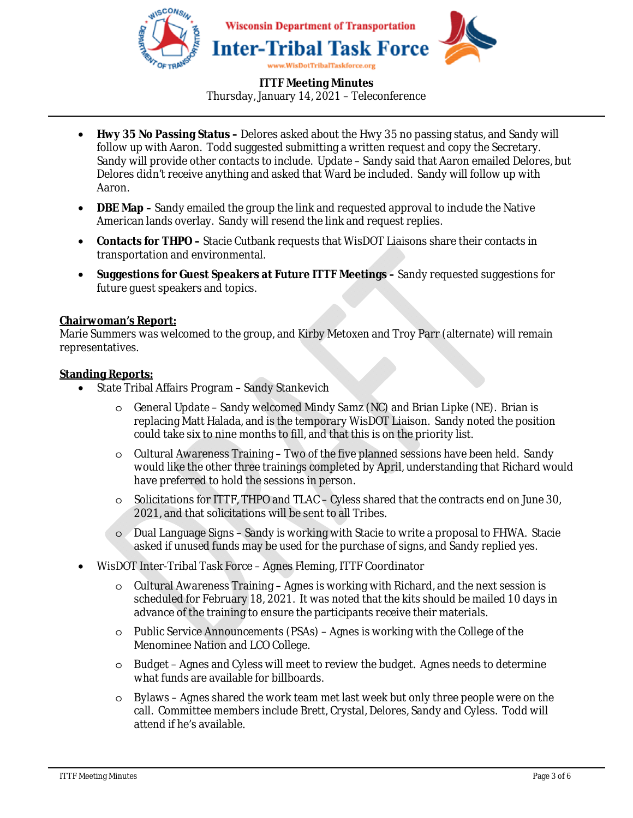

- **Hwy 35 No Passing Status –** Delores asked about the Hwy 35 no passing status, and Sandy will follow up with Aaron. Todd suggested submitting a written request and copy the Secretary. Sandy will provide other contacts to include. Update – Sandy said that Aaron emailed Delores, but Delores didn't receive anything and asked that Ward be included. Sandy will follow up with Aaron.
- **DBE Map** Sandy emailed the group the link and requested approval to include the Native American lands overlay. Sandy will resend the link and request replies.
- **Contacts for THPO –** Stacie Cutbank requests that WisDOT Liaisons share their contacts in transportation and environmental.
- **Suggestions for Guest Speakers at Future ITTF Meetings –** Sandy requested suggestions for future guest speakers and topics.

### **Chairwoman's Report:**

Marie Summers was welcomed to the group, and Kirby Metoxen and Troy Parr (alternate) will remain representatives.

#### **Standing Reports:**

- State Tribal Affairs Program Sandy Stankevich
	- $\circ$  General Update Sandy welcomed Mindy Samz (NC) and Brian Lipke (NE). Brian is replacing Matt Halada, and is the temporary WisDOT Liaison. Sandy noted the position could take six to nine months to fill, and that this is on the priority list.
	- o Cultural Awareness Training Two of the five planned sessions have been held. Sandy would like the other three trainings completed by April, understanding that Richard would have preferred to hold the sessions in person.
	- o Solicitations for ITTF, THPO and TLAC Cyless shared that the contracts end on June 30, 2021, and that solicitations will be sent to all Tribes.
	- o Dual Language Signs Sandy is working with Stacie to write a proposal to FHWA. Stacie asked if unused funds may be used for the purchase of signs, and Sandy replied yes.
- WisDOT Inter-Tribal Task Force Agnes Fleming, ITTF Coordinator
	- o Cultural Awareness Training Agnes is working with Richard, and the next session is scheduled for February 18, 2021. It was noted that the kits should be mailed 10 days in advance of the training to ensure the participants receive their materials.
	- $\circ$  Public Service Announcements (PSAs) Agnes is working with the College of the Menominee Nation and LCO College.
	- o Budget Agnes and Cyless will meet to review the budget. Agnes needs to determine what funds are available for billboards.
	- o Bylaws Agnes shared the work team met last week but only three people were on the call. Committee members include Brett, Crystal, Delores, Sandy and Cyless. Todd will attend if he's available.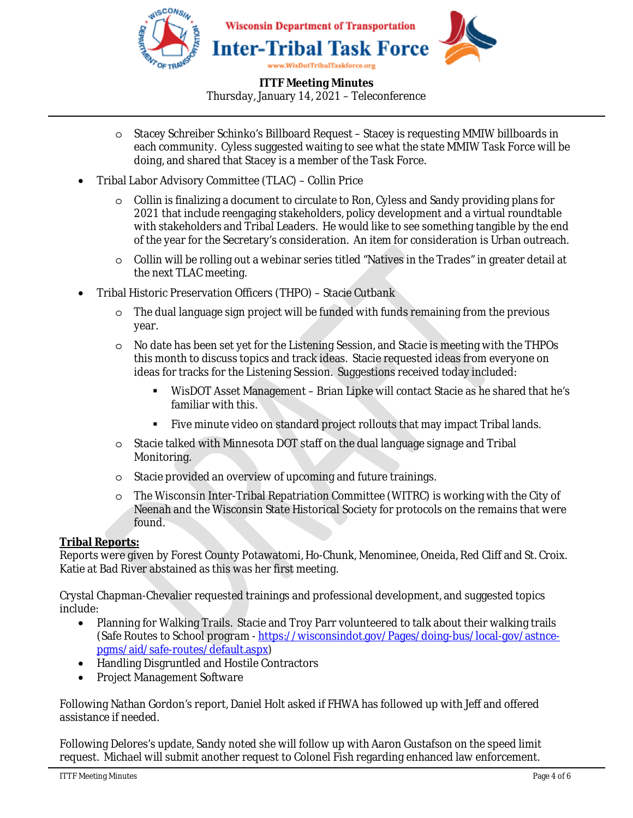

- o Stacey Schreiber Schinko's Billboard Request Stacey is requesting MMIW billboards in each community. Cyless suggested waiting to see what the state MMIW Task Force will be doing, and shared that Stacey is a member of the Task Force.
- Tribal Labor Advisory Committee (TLAC) Collin Price
	- $\circ$  Collin is finalizing a document to circulate to Ron, Cyless and Sandy providing plans for 2021 that include reengaging stakeholders, policy development and a virtual roundtable with stakeholders and Tribal Leaders. He would like to see something tangible by the end of the year for the Secretary's consideration. An item for consideration is Urban outreach.
	- o Collin will be rolling out a webinar series titled "Natives in the Trades" in greater detail at the next TLAC meeting.
- Tribal Historic Preservation Officers (THPO) Stacie Cutbank
	- o The dual language sign project will be funded with funds remaining from the previous year.
	- o No date has been set yet for the Listening Session, and Stacie is meeting with the THPOs this month to discuss topics and track ideas. Stacie requested ideas from everyone on ideas for tracks for the Listening Session. Suggestions received today included:
		- WisDOT Asset Management Brian Lipke will contact Stacie as he shared that he's familiar with this.
		- Five minute video on standard project rollouts that may impact Tribal lands.
	- $\circ$  Stacie talked with Minnesota DOT staff on the dual language signage and Tribal Monitoring.
	- o Stacie provided an overview of upcoming and future trainings.
	- $\circ$  The Wisconsin Inter-Tribal Repatriation Committee (WITRC) is working with the City of Neenah and the Wisconsin State Historical Society for protocols on the remains that were found.

## **Tribal Reports:**

Reports were given by Forest County Potawatomi, Ho-Chunk, Menominee, Oneida, Red Cliff and St. Croix. Katie at Bad River abstained as this was her first meeting.

Crystal Chapman-Chevalier requested trainings and professional development, and suggested topics include:

- Planning for Walking Trails. Stacie and Troy Parr volunteered to talk about their walking trails (Safe Routes to School program - https://wisconsindot.gov/Pages/doing-bus/local-gov/astncepgms/aid/safe-routes/default.aspx)
- Handling Disgruntled and Hostile Contractors
- Project Management Software

Following Nathan Gordon's report, Daniel Holt asked if FHWA has followed up with Jeff and offered assistance if needed.

Following Delores's update, Sandy noted she will follow up with Aaron Gustafson on the speed limit request. Michael will submit another request to Colonel Fish regarding enhanced law enforcement.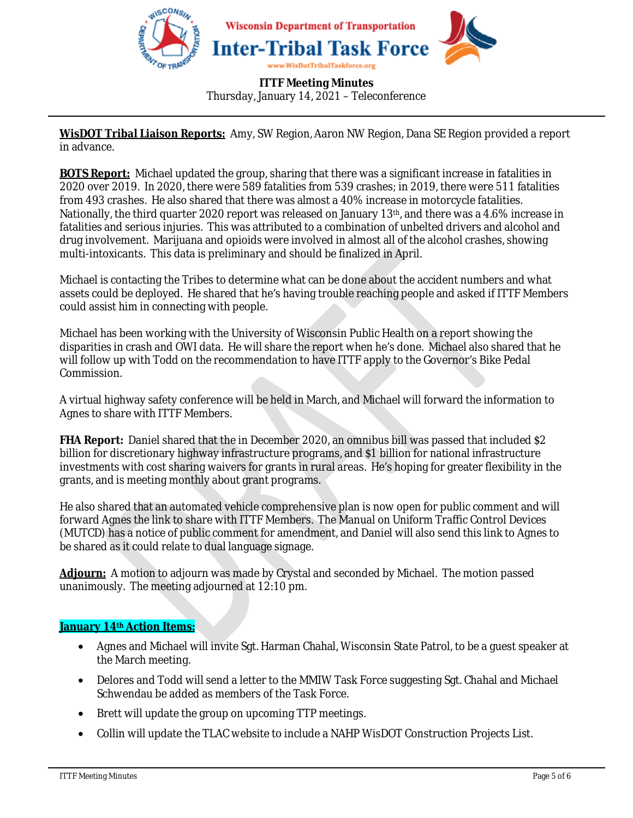

**WisDOT Tribal Liaison Reports:** Amy, SW Region, Aaron NW Region, Dana SE Region provided a report in advance.

**BOTS Report:** Michael updated the group, sharing that there was a significant increase in fatalities in 2020 over 2019. In 2020, there were 589 fatalities from 539 crashes; in 2019, there were 511 fatalities from 493 crashes. He also shared that there was almost a 40% increase in motorcycle fatalities. Nationally, the third quarter 2020 report was released on January 13th, and there was a 4.6% increase in fatalities and serious injuries. This was attributed to a combination of unbelted drivers and alcohol and drug involvement. Marijuana and opioids were involved in almost all of the alcohol crashes, showing multi-intoxicants. This data is preliminary and should be finalized in April.

Michael is contacting the Tribes to determine what can be done about the accident numbers and what assets could be deployed. He shared that he's having trouble reaching people and asked if ITTF Members could assist him in connecting with people.

Michael has been working with the University of Wisconsin Public Health on a report showing the disparities in crash and OWI data. He will share the report when he's done. Michael also shared that he will follow up with Todd on the recommendation to have ITTF apply to the Governor's Bike Pedal Commission.

A virtual highway safety conference will be held in March, and Michael will forward the information to Agnes to share with ITTF Members.

**FHA Report:** Daniel shared that the in December 2020, an omnibus bill was passed that included \$2 billion for discretionary highway infrastructure programs, and \$1 billion for national infrastructure investments with cost sharing waivers for grants in rural areas. He's hoping for greater flexibility in the grants, and is meeting monthly about grant programs.

He also shared that an automated vehicle comprehensive plan is now open for public comment and will forward Agnes the link to share with ITTF Members. The Manual on Uniform Traffic Control Devices (MUTCD) has a notice of public comment for amendment, and Daniel will also send this link to Agnes to be shared as it could relate to dual language signage.

**Adjourn:** A motion to adjourn was made by Crystal and seconded by Michael. The motion passed unanimously. The meeting adjourned at 12:10 pm.

### **January 14th Action Items:**

- Agnes and Michael will invite Sgt. Harman Chahal, Wisconsin State Patrol, to be a guest speaker at the March meeting.
- Delores and Todd will send a letter to the MMIW Task Force suggesting Sgt. Chahal and Michael Schwendau be added as members of the Task Force.
- Brett will update the group on upcoming TTP meetings.
- Collin will update the TLAC website to include a NAHP WisDOT Construction Projects List.